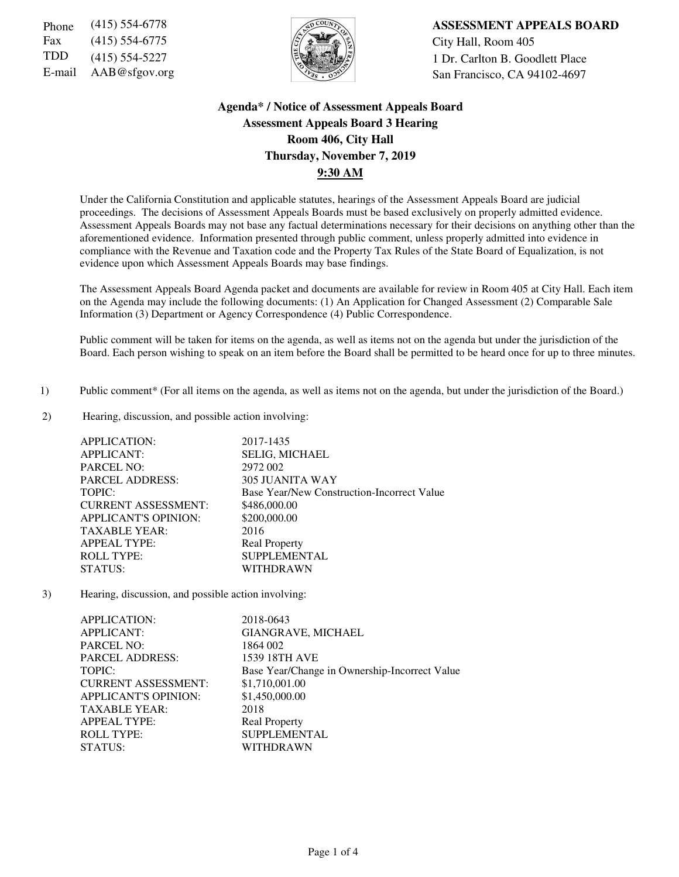Fax (415) 554-6775  $\sqrt{5}$   $\sqrt{2}$   $\sqrt{2}$  City Hall, Room 405



Phone (415) 554-6778 **ASSESSMENT APPEALS BOARD** TDD (415) 554-5227  $\left|\frac{1}{2}\right|$  1 Dr. Carlton B. Goodlett Place E-mail AAB@sfgov.org San Francisco, CA 94102-4697

## **Agenda\* / Notice of Assessment Appeals Board Assessment Appeals Board 3 Hearing Room 406, City Hall Thursday, November 7, 2019 9:30 AM**

Under the California Constitution and applicable statutes, hearings of the Assessment Appeals Board are judicial proceedings. The decisions of Assessment Appeals Boards must be based exclusively on properly admitted evidence. Assessment Appeals Boards may not base any factual determinations necessary for their decisions on anything other than the aforementioned evidence. Information presented through public comment, unless properly admitted into evidence in compliance with the Revenue and Taxation code and the Property Tax Rules of the State Board of Equalization, is not evidence upon which Assessment Appeals Boards may base findings.

The Assessment Appeals Board Agenda packet and documents are available for review in Room 405 at City Hall. Each item on the Agenda may include the following documents: (1) An Application for Changed Assessment (2) Comparable Sale Information (3) Department or Agency Correspondence (4) Public Correspondence.

Public comment will be taken for items on the agenda, as well as items not on the agenda but under the jurisdiction of the Board. Each person wishing to speak on an item before the Board shall be permitted to be heard once for up to three minutes.

- 1) Public comment\* (For all items on the agenda, as well as items not on the agenda, but under the jurisdiction of the Board.)
- 2) Hearing, discussion, and possible action involving:

| <b>APPLICATION:</b>         | 2017-1435                                  |
|-----------------------------|--------------------------------------------|
| <b>APPLICANT:</b>           | <b>SELIG, MICHAEL</b>                      |
| <b>PARCEL NO:</b>           | 2972 002                                   |
| <b>PARCEL ADDRESS:</b>      | <b>305 JUANITA WAY</b>                     |
| TOPIC:                      | Base Year/New Construction-Incorrect Value |
| <b>CURRENT ASSESSMENT:</b>  | \$486,000.00                               |
| <b>APPLICANT'S OPINION:</b> | \$200,000.00                               |
| <b>TAXABLE YEAR:</b>        | 2016                                       |
| <b>APPEAL TYPE:</b>         | <b>Real Property</b>                       |
| <b>ROLL TYPE:</b>           | <b>SUPPLEMENTAL</b>                        |
| STATUS:                     | WITHDRAWN                                  |

3) Hearing, discussion, and possible action involving:

| <b>APPLICATION:</b>         | 2018-0643                                     |
|-----------------------------|-----------------------------------------------|
| <b>APPLICANT:</b>           | GIANGRAVE, MICHAEL                            |
| <b>PARCEL NO:</b>           | 1864 002                                      |
| <b>PARCEL ADDRESS:</b>      | <b>1539 18TH AVE</b>                          |
| TOPIC:                      | Base Year/Change in Ownership-Incorrect Value |
| <b>CURRENT ASSESSMENT:</b>  | \$1,710,001.00                                |
| <b>APPLICANT'S OPINION:</b> | \$1,450,000.00                                |
| <b>TAXABLE YEAR:</b>        | 2018                                          |
| <b>APPEAL TYPE:</b>         | <b>Real Property</b>                          |
| <b>ROLL TYPE:</b>           | <b>SUPPLEMENTAL</b>                           |
| STATUS:                     | WITHDRAWN                                     |
|                             |                                               |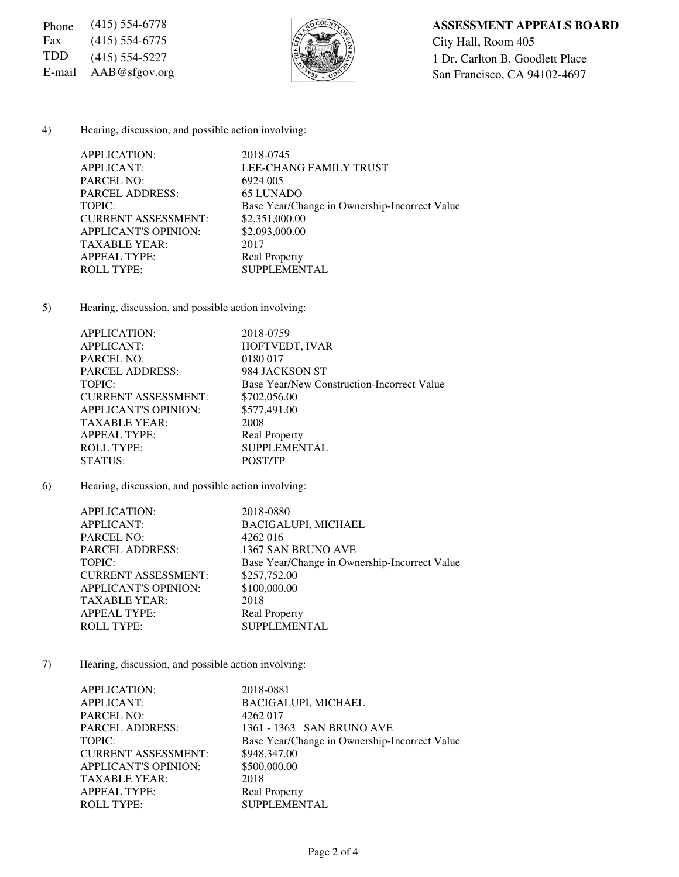Fax (415) 554-6775  $\sqrt{5}$   $\sqrt{2}$  City Hall, Room 405



# Phone (415) 554-6778 **ASSESSMENT APPEALS BOARD** TDD (415) 554-5227  $\left|\frac{1}{2}\right|$  1 Dr. Carlton B. Goodlett Place E-mail AAB@sfgov.org San Francisco, CA 94102-4697

4) Hearing, discussion, and possible action involving:

| APPLICATION:                | 2018-0745                                     |
|-----------------------------|-----------------------------------------------|
| <b>APPLICANT:</b>           | LEE-CHANG FAMILY TRUST                        |
| <b>PARCEL NO:</b>           | 6924 005                                      |
| <b>PARCEL ADDRESS:</b>      | 65 LUNADO                                     |
| TOPIC:                      | Base Year/Change in Ownership-Incorrect Value |
| <b>CURRENT ASSESSMENT:</b>  | \$2,351,000.00                                |
| <b>APPLICANT'S OPINION:</b> | \$2,093,000.00                                |
| <b>TAXABLE YEAR:</b>        | 2017                                          |
| <b>APPEAL TYPE:</b>         | <b>Real Property</b>                          |
| <b>ROLL TYPE:</b>           | <b>SUPPLEMENTAL</b>                           |
|                             |                                               |

5) Hearing, discussion, and possible action involving:

| APPLICATION:                | 2018-0759                                  |
|-----------------------------|--------------------------------------------|
| <b>APPLICANT:</b>           | HOFTVEDT, IVAR                             |
| <b>PARCEL NO:</b>           | 0180 017                                   |
| <b>PARCEL ADDRESS:</b>      | 984 JACKSON ST                             |
| TOPIC:                      | Base Year/New Construction-Incorrect Value |
| <b>CURRENT ASSESSMENT:</b>  | \$702,056.00                               |
| <b>APPLICANT'S OPINION:</b> | \$577,491.00                               |
| <b>TAXABLE YEAR:</b>        | 2008                                       |
| <b>APPEAL TYPE:</b>         | <b>Real Property</b>                       |
| <b>ROLL TYPE:</b>           | <b>SUPPLEMENTAL</b>                        |
| STATUS:                     | POST/TP                                    |

6) Hearing, discussion, and possible action involving:

| APPLICATION:                | 2018-0880                                     |
|-----------------------------|-----------------------------------------------|
| <b>APPLICANT:</b>           | <b>BACIGALUPI, MICHAEL</b>                    |
| <b>PARCEL NO:</b>           | 4262016                                       |
| <b>PARCEL ADDRESS:</b>      | 1367 SAN BRUNO AVE                            |
| TOPIC:                      | Base Year/Change in Ownership-Incorrect Value |
| <b>CURRENT ASSESSMENT:</b>  | \$257,752.00                                  |
| <b>APPLICANT'S OPINION:</b> | \$100,000.00                                  |
| <b>TAXABLE YEAR:</b>        | 2018                                          |
| <b>APPEAL TYPE:</b>         | <b>Real Property</b>                          |
| <b>ROLL TYPE:</b>           | <b>SUPPLEMENTAL</b>                           |
|                             |                                               |

7) Hearing, discussion, and possible action involving:

| APPLICATION:                | 2018-0881                                     |
|-----------------------------|-----------------------------------------------|
| <b>APPLICANT:</b>           | <b>BACIGALUPI, MICHAEL</b>                    |
| <b>PARCEL NO:</b>           | 4262017                                       |
| <b>PARCEL ADDRESS:</b>      | 1361 - 1363 SAN BRUNO AVE                     |
| TOPIC:                      | Base Year/Change in Ownership-Incorrect Value |
| <b>CURRENT ASSESSMENT:</b>  | \$948,347.00                                  |
| <b>APPLICANT'S OPINION:</b> | \$500,000.00                                  |
| <b>TAXABLE YEAR:</b>        | 2018                                          |
| <b>APPEAL TYPE:</b>         | <b>Real Property</b>                          |
| <b>ROLL TYPE:</b>           | <b>SUPPLEMENTAL</b>                           |
|                             |                                               |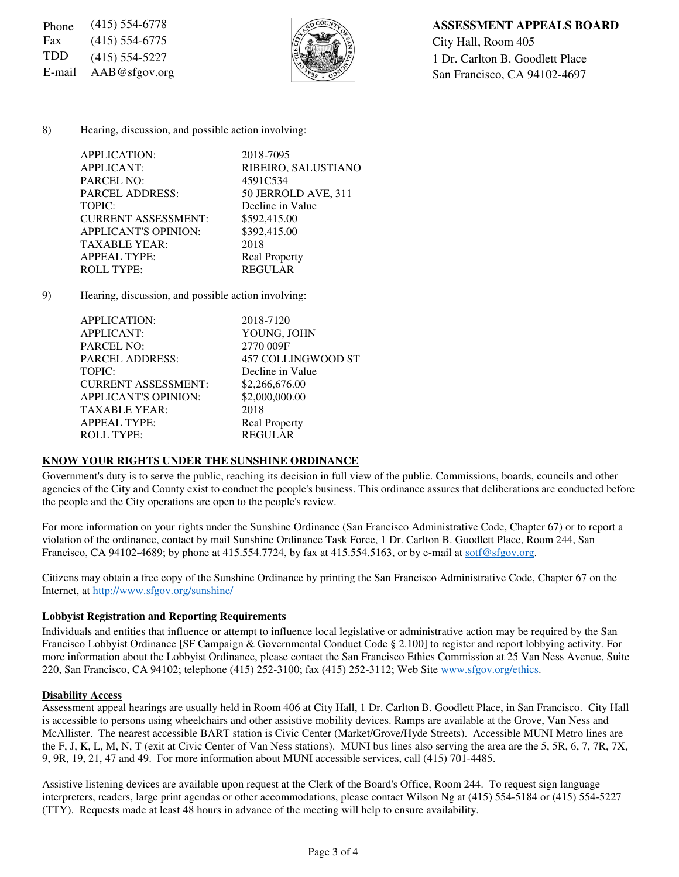Fax  $(415)$  554-6775  $\sqrt{5/2}$   $\sqrt{2}$   $\sqrt{3}$   $\sqrt{2}$  City Hall, Room 405



### Phone (415) 554-6778 **ASSESSMENT APPEALS BOARD**

TDD (415) 554-5227  $\left|\frac{1}{2}\right|$  1 Dr. Carlton B. Goodlett Place E-mail  $AAB@sfgov.org$  San Francisco, CA 94102-4697

8) Hearing, discussion, and possible action involving:

| APPLICATION:           |                             | 2018-7095            |
|------------------------|-----------------------------|----------------------|
| <b>APPLICANT:</b>      |                             | RIBEIRO, SALUSTIANO  |
| <b>PARCEL NO:</b>      |                             | 4591C534             |
| <b>PARCEL ADDRESS:</b> |                             | 50 JERROLD AVE, 311  |
| TOPIC:                 |                             | Decline in Value     |
|                        | <b>CURRENT ASSESSMENT:</b>  | \$592,415.00         |
|                        | <b>APPLICANT'S OPINION:</b> | \$392,415.00         |
| <b>TAXABLE YEAR:</b>   |                             | 2018                 |
| <b>APPEAL TYPE:</b>    |                             | <b>Real Property</b> |
| <b>ROLL TYPE:</b>      |                             | <b>REGULAR</b>       |
|                        |                             |                      |

9) Hearing, discussion, and possible action involving:

| APPLICATION:                | 2018-7120            |
|-----------------------------|----------------------|
| <b>APPLICANT:</b>           | YOUNG, JOHN          |
| <b>PARCEL NO:</b>           | 2770 009F            |
| <b>PARCEL ADDRESS:</b>      | 457 COLLINGWOOD ST   |
| TOPIC:                      | Decline in Value     |
| <b>CURRENT ASSESSMENT:</b>  | \$2,266,676.00       |
| <b>APPLICANT'S OPINION:</b> | \$2,000,000.00       |
| <b>TAXABLE YEAR:</b>        | 2018                 |
| <b>APPEAL TYPE:</b>         | <b>Real Property</b> |
| <b>ROLL TYPE:</b>           | <b>REGULAR</b>       |
|                             |                      |

#### **KNOW YOUR RIGHTS UNDER THE SUNSHINE ORDINANCE**

Government's duty is to serve the public, reaching its decision in full view of the public. Commissions, boards, councils and other agencies of the City and County exist to conduct the people's business. This ordinance assures that deliberations are conducted before the people and the City operations are open to the people's review.

For more information on your rights under the Sunshine Ordinance (San Francisco Administrative Code, Chapter 67) or to report a violation of the ordinance, contact by mail Sunshine Ordinance Task Force, 1 Dr. Carlton B. Goodlett Place, Room 244, San Francisco, CA 94102-4689; by phone at 415.554.7724, by fax at 415.554.5163, or by e-mail at sotf@sfgov.org.

Citizens may obtain a free copy of the Sunshine Ordinance by printing the San Francisco Administrative Code, Chapter 67 on the Internet, at http://www.sfgov.org/sunshine/

#### **Lobbyist Registration and Reporting Requirements**

Individuals and entities that influence or attempt to influence local legislative or administrative action may be required by the San Francisco Lobbyist Ordinance [SF Campaign & Governmental Conduct Code § 2.100] to register and report lobbying activity. For more information about the Lobbyist Ordinance, please contact the San Francisco Ethics Commission at 25 Van Ness Avenue, Suite 220, San Francisco, CA 94102; telephone (415) 252-3100; fax (415) 252-3112; Web Site www.sfgov.org/ethics.

#### **Disability Access**

Assessment appeal hearings are usually held in Room 406 at City Hall, 1 Dr. Carlton B. Goodlett Place, in San Francisco. City Hall is accessible to persons using wheelchairs and other assistive mobility devices. Ramps are available at the Grove, Van Ness and McAllister. The nearest accessible BART station is Civic Center (Market/Grove/Hyde Streets). Accessible MUNI Metro lines are the F, J, K, L, M, N, T (exit at Civic Center of Van Ness stations). MUNI bus lines also serving the area are the 5, 5R, 6, 7, 7R, 7X, 9, 9R, 19, 21, 47 and 49. For more information about MUNI accessible services, call (415) 701-4485.

Assistive listening devices are available upon request at the Clerk of the Board's Office, Room 244. To request sign language interpreters, readers, large print agendas or other accommodations, please contact Wilson Ng at (415) 554-5184 or (415) 554-5227 (TTY). Requests made at least 48 hours in advance of the meeting will help to ensure availability.